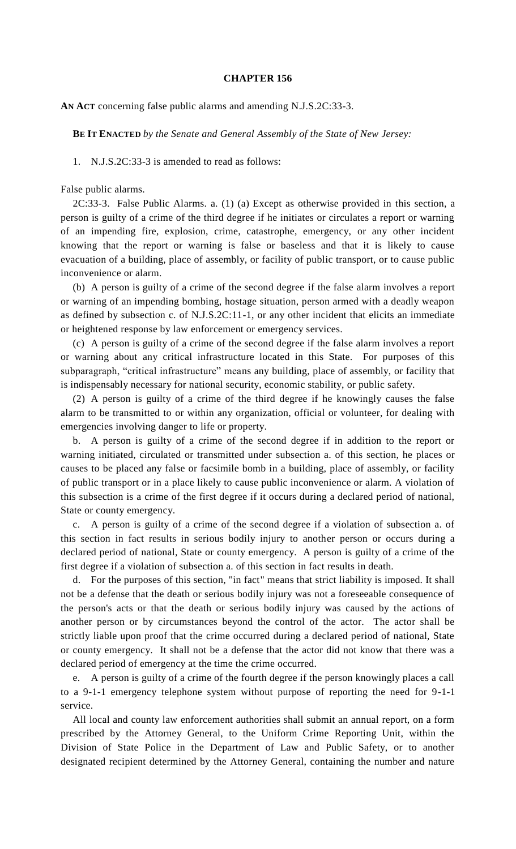## **CHAPTER 156**

## **AN ACT** concerning false public alarms and amending N.J.S.2C:33-3.

**BE IT ENACTED** *by the Senate and General Assembly of the State of New Jersey:*

## 1. N.J.S.2C:33-3 is amended to read as follows:

False public alarms.

2C:33-3. False Public Alarms. a. (1) (a) Except as otherwise provided in this section, a person is guilty of a crime of the third degree if he initiates or circulates a report or warning of an impending fire, explosion, crime, catastrophe, emergency, or any other incident knowing that the report or warning is false or baseless and that it is likely to cause evacuation of a building, place of assembly, or facility of public transport, or to cause public inconvenience or alarm.

(b) A person is guilty of a crime of the second degree if the false alarm involves a report or warning of an impending bombing, hostage situation, person armed with a deadly weapon as defined by subsection c. of N.J.S.2C:11-1, or any other incident that elicits an immediate or heightened response by law enforcement or emergency services.

(c) A person is guilty of a crime of the second degree if the false alarm involves a report or warning about any critical infrastructure located in this State. For purposes of this subparagraph, "critical infrastructure" means any building, place of assembly, or facility that is indispensably necessary for national security, economic stability, or public safety.

(2) A person is guilty of a crime of the third degree if he knowingly causes the false alarm to be transmitted to or within any organization, official or volunteer, for dealing with emergencies involving danger to life or property.

b. A person is guilty of a crime of the second degree if in addition to the report or warning initiated, circulated or transmitted under subsection a. of this section, he places or causes to be placed any false or facsimile bomb in a building, place of assembly, or facility of public transport or in a place likely to cause public inconvenience or alarm. A violation of this subsection is a crime of the first degree if it occurs during a declared period of national, State or county emergency.

c. A person is guilty of a crime of the second degree if a violation of subsection a. of this section in fact results in serious bodily injury to another person or occurs during a declared period of national, State or county emergency. A person is guilty of a crime of the first degree if a violation of subsection a. of this section in fact results in death.

d. For the purposes of this section, "in fact" means that strict liability is imposed. It shall not be a defense that the death or serious bodily injury was not a foreseeable consequence of the person's acts or that the death or serious bodily injury was caused by the actions of another person or by circumstances beyond the control of the actor. The actor shall be strictly liable upon proof that the crime occurred during a declared period of national, State or county emergency. It shall not be a defense that the actor did not know that there was a declared period of emergency at the time the crime occurred.

e. A person is guilty of a crime of the fourth degree if the person knowingly places a call to a 9-1-1 emergency telephone system without purpose of reporting the need for 9-1-1 service.

All local and county law enforcement authorities shall submit an annual report, on a form prescribed by the Attorney General, to the Uniform Crime Reporting Unit, within the Division of State Police in the Department of Law and Public Safety, or to another designated recipient determined by the Attorney General, containing the number and nature